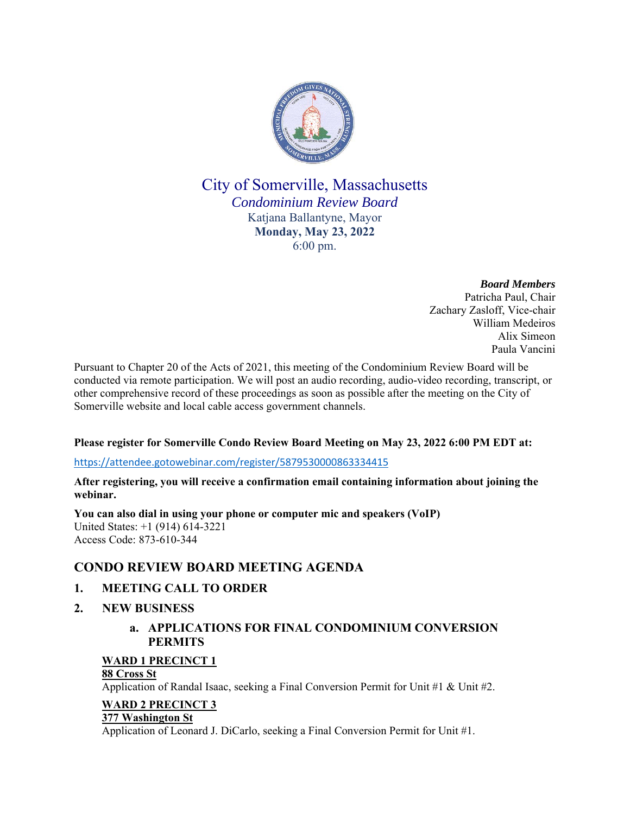

# City of Somerville, Massachusetts *Condominium Review Board* Katjana Ballantyne, Mayor **Monday, May 23, 2022** 6:00 pm.

*Board Members* Patricha Paul, Chair Zachary Zasloff, Vice-chair William Medeiros Alix Simeon Paula Vancini

Pursuant to Chapter 20 of the Acts of 2021, this meeting of the Condominium Review Board will be conducted via remote participation. We will post an audio recording, audio-video recording, transcript, or other comprehensive record of these proceedings as soon as possible after the meeting on the City of Somerville website and local cable access government channels.

## **Please register for Somerville Condo Review Board Meeting on May 23, 2022 6:00 PM EDT at:**

### https://attendee.gotowebinar.com/register/5879530000863334415

**After registering, you will receive a confirmation email containing information about joining the webinar.** 

**You can also dial in using your phone or computer mic and speakers (VoIP)** United States: +1 (914) 614-3221 Access Code: 873-610-344

## **CONDO REVIEW BOARD MEETING AGENDA**

## **1. MEETING CALL TO ORDER**

**2. NEW BUSINESS**

## **a. APPLICATIONS FOR FINAL CONDOMINIUM CONVERSION PERMITS**

## **WARD 1 PRECINCT 1**

### **88 Cross St**

Application of Randal Isaac, seeking a Final Conversion Permit for Unit #1 & Unit #2.

### **WARD 2 PRECINCT 3**

#### **377 Washington St**

Application of Leonard J. DiCarlo, seeking a Final Conversion Permit for Unit #1.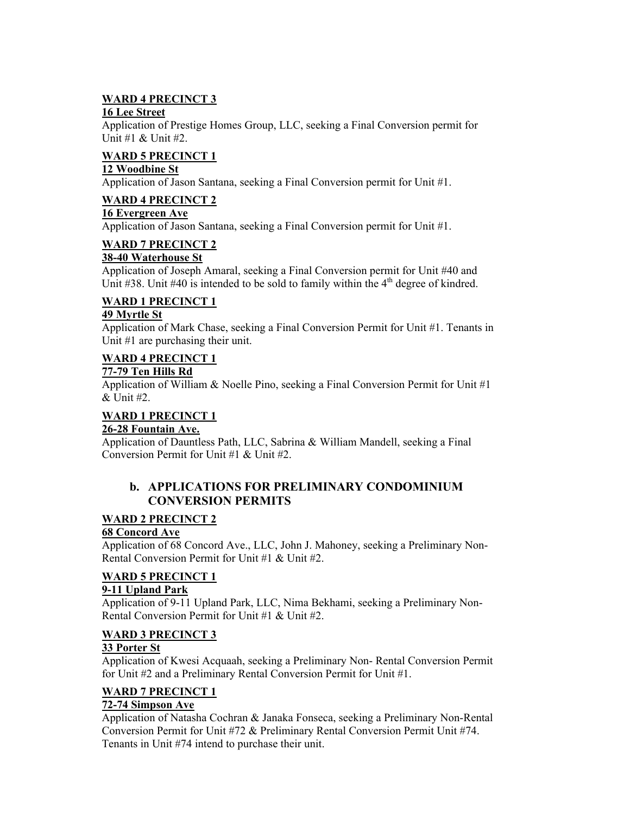## **WARD 4 PRECINCT 3**

### **16 Lee Street**

Application of Prestige Homes Group, LLC, seeking a Final Conversion permit for Unit #1 & Unit #2.

## **WARD 5 PRECINCT 1**

## **12 Woodbine St**

Application of Jason Santana, seeking a Final Conversion permit for Unit #1.

## **WARD 4 PRECINCT 2**

### **16 Evergreen Ave**

Application of Jason Santana, seeking a Final Conversion permit for Unit #1.

# **WARD 7 PRECINCT 2**

**38-40 Waterhouse St** 

Application of Joseph Amaral, seeking a Final Conversion permit for Unit #40 and Unit  $\#38$ . Unit  $\#40$  is intended to be sold to family within the  $4<sup>th</sup>$  degree of kindred.

# **WARD 1 PRECINCT 1**

### **49 Myrtle St**

Application of Mark Chase, seeking a Final Conversion Permit for Unit #1. Tenants in Unit #1 are purchasing their unit.

# **WARD 4 PRECINCT 1**

### **77-79 Ten Hills Rd**

Application of William & Noelle Pino, seeking a Final Conversion Permit for Unit #1 & Unit #2.

#### **WARD 1 PRECINCT 1 26-28 Fountain Ave.**

Application of Dauntless Path, LLC, Sabrina & William Mandell, seeking a Final Conversion Permit for Unit #1 & Unit #2.

## **b. APPLICATIONS FOR PRELIMINARY CONDOMINIUM CONVERSION PERMITS**

## **WARD 2 PRECINCT 2**

## **68 Concord Ave**

Application of 68 Concord Ave., LLC, John J. Mahoney, seeking a Preliminary Non-Rental Conversion Permit for Unit #1 & Unit #2.

## **WARD 5 PRECINCT 1**

## **9-11 Upland Park**

Application of 9-11 Upland Park, LLC, Nima Bekhami, seeking a Preliminary Non-Rental Conversion Permit for Unit #1 & Unit #2.

## **WARD 3 PRECINCT 3**

## **33 Porter St**

Application of Kwesi Acquaah, seeking a Preliminary Non- Rental Conversion Permit for Unit #2 and a Preliminary Rental Conversion Permit for Unit #1.

# **WARD 7 PRECINCT 1**

## **72-74 Simpson Ave**

Application of Natasha Cochran & Janaka Fonseca, seeking a Preliminary Non-Rental Conversion Permit for Unit #72 & Preliminary Rental Conversion Permit Unit #74. Tenants in Unit #74 intend to purchase their unit.